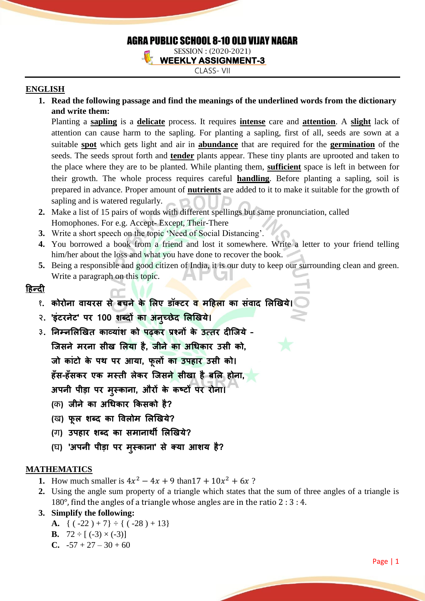# AGRA PUBLIC SCHOOL 8-10 OLD VIJAY NAGAR

SESSION : (2020-2021) **WEEKLY ASSIGNMENT-3** 

CLASS- VII

# **ENGLISH**

**1. Read the following passage and find the meanings of the underlined words from the dictionary and write them:**

Planting a **sapling** is a **delicate** process. It requires **intense** care and **attention**. A **slight** lack of attention can cause harm to the sapling. For planting a sapling, first of all, seeds are sown at a suitable **spot** which gets light and air in **abundance** that are required for the **germination** of the seeds. The seeds sprout forth and **tender** plants appear. These tiny plants are uprooted and taken to the place where they are to be planted. While planting them, **sufficient** space is left in between for their growth. The whole process requires careful **handling**. Before planting a sapling, soil is prepared in advance. Proper amount of **nutrients** are added to it to make it suitable for the growth of sapling and is watered regularly.

- **2.** Make a list of 15 pairs of words with different spellings but same pronunciation, called Homophones. For e.g. Accept- Except, Their-There
- **3.** Write a short speech on the topic 'Need of Social Distancing'.
- **4.** You borrowed a book from a friend and lost it somewhere. Write a letter to your friend telling him/her about the loss and what you have done to recover the book.
- **5.** Being a responsible and good citizen of India, it is our duty to keep our surrounding clean and green. Write a paragraph on this topic.

# <u> हिन्दी</u>

- १. कोरोना वायरस से बचने के लिए डॉक्टर <mark>व महिला</mark> का संवाद लिखिये
- २. 'इंटरनेट' पर 100 शब्दों का अनुच्छेद लिखिये।
- ३. निम्नलिखित काव्यांश को पढ़कर प्रश्नों के उत्तर दीजिये -जिसने मरना सीख लिया है. जीने का अधिकार उसी को.

जो कांटो के पथ पर आया, फ़लों का उपहार उसी को।

हँस-हँसकर एक मस्ती लेकर जिसन<mark>े सीखा है बलि होना,</mark>

अपनी पीड़ा पर मस्काना, औरों के कष्टों पर रोना।

- (क) जीने का अधिकार किसको है?
- (ख) फुल शब्द का विलोम लिखिये?
- (ग) उपहार शब्द का समानार्थी लिखिये?
- (घ) 'अपनी पीड़ा पर मुस्काना' से क्या आशय है?

# **MATHEMATICS**

- **1.** How much smaller is  $4x^2 4x + 9$  than  $17 + 10x^2 + 6x$ ?
- **2.** Using the angle sum property of a triangle which states that the sum of three angles of a triangle is 180°, find the angles of a triangle whose angles are in the ratio 2 : 3 : 4.

# **3. Simplify the following:**

- **A.** {  $(-22) + 7$ } ÷ {  $(-28) + 13$ }
- **B.**  $72 \div [(-3) \times (-3)]$
- **C.**  $-57 + 27 30 + 60$